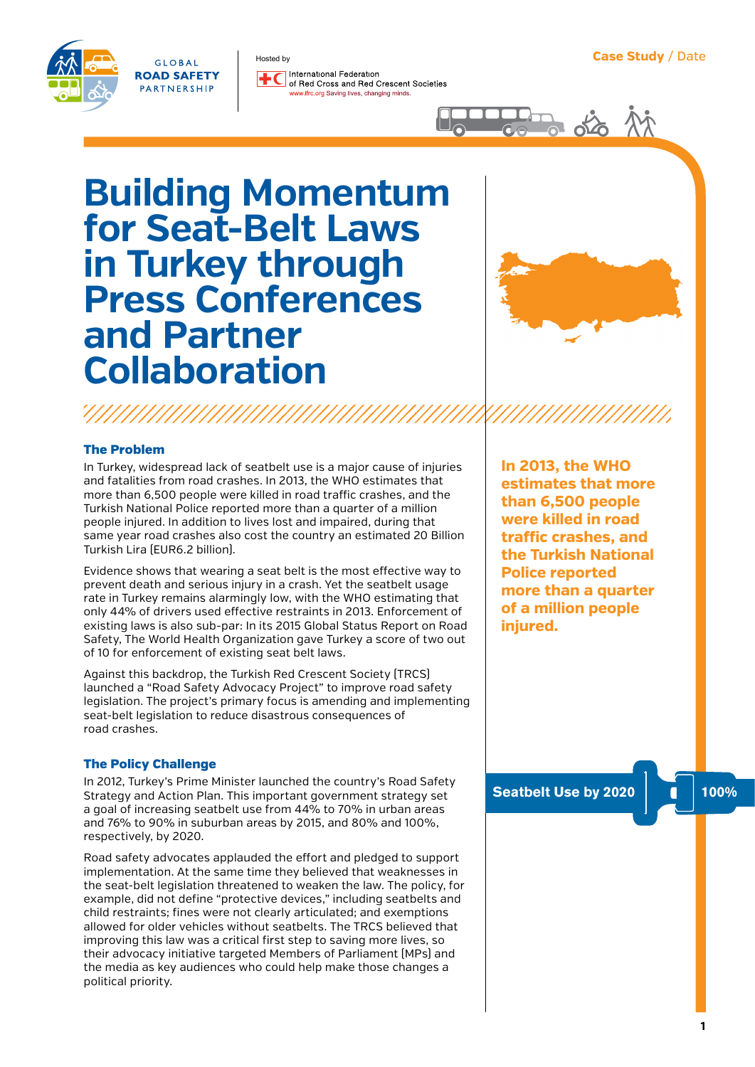GLOBAL **ROAD SAFETY** PARTNERSHIP

International Federation of Bed Cross and Bed Crescent Societies ifrc.org Saving lives, changing minds



# **Building Momentum for Seat-Belt Laws in Turkey through Press Conferences and Partner Collaboration**

Hosted by



## The Problem

In Turkey, widespread lack of seatbelt use is a major cause of injuries and fatalities from road crashes. In 2013, the WHO estimates that more than 6,500 people were killed in road traffic crashes, and the Turkish National Police reported more than a quarter of a million people injured. In addition to lives lost and impaired, during that same year road crashes also cost the country an estimated 20 Billion Turkish Lira (EUR6.2 billion).

Evidence shows that wearing a seat belt is the most effective way to prevent death and serious injury in a crash. Yet the seatbelt usage rate in Turkey remains alarmingly low, with the WHO estimating that only 44% of drivers used effective restraints in 2013. Enforcement of existing laws is also sub-par: In its 2015 Global Status Report on Road Safety, The World Health Organization gave Turkey a score of two out of 10 for enforcement of existing seat belt laws.

Against this backdrop, the Turkish Red Crescent Society (TRCS) launched a "Road Safety Advocacy Project" to improve road safety legislation. The project's primary focus is amending and implementing seat-belt legislation to reduce disastrous consequences of road crashes.

### The Policy Challenge

In 2012, Turkey's Prime Minister launched the country's Road Safety Strategy and Action Plan. This important government strategy set a goal of increasing seatbelt use from 44% to 70% in urban areas and 76% to 90% in suburban areas by 2015, and 80% and 100%, respectively, by 2020.

Road safety advocates applauded the effort and pledged to support implementation. At the same time they believed that weaknesses in the seat-belt legislation threatened to weaken the law. The policy, for example, did not define "protective devices," including seatbelts and child restraints; fines were not clearly articulated; and exemptions allowed for older vehicles without seatbelts. The TRCS believed that improving this law was a critical first step to saving more lives, so their advocacy initiative targeted Members of Parliament (MPs) and the media as key audiences who could help make those changes a political priority.

**In 2013, the WHO estimates that more than 6,500 people were killed in road traffic crashes, and the Turkish National Police reported more than a quarter of a million people injured.** 

**Seatbelt Use by 2020 100%**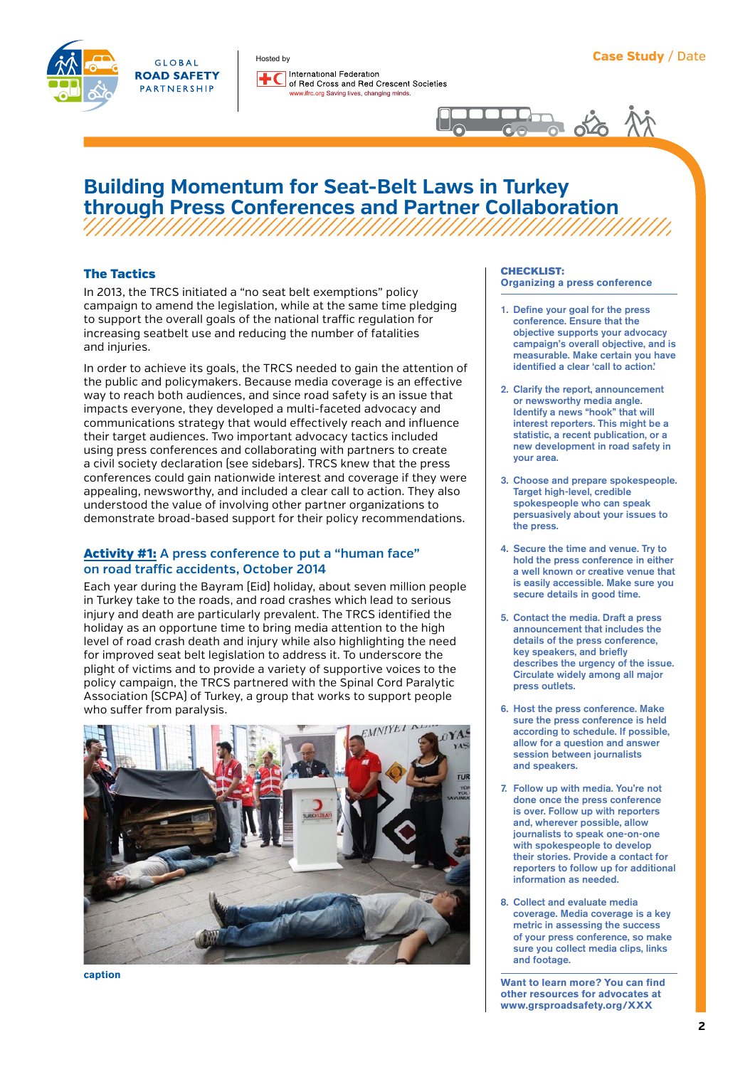

International Federation of Red Cross and Red Crescent Societies ifrc.org Saving lives, changing minds.



## **Building Momentum for Seat-Belt Laws in Turkey through Press Conferences and Partner Collaboration**

## The Tactics

In 2013, the TRCS initiated a "no seat belt exemptions" policy campaign to amend the legislation, while at the same time pledging to support the overall goals of the national traffic regulation for increasing seatbelt use and reducing the number of fatalities and injuries.

Hosted by

In order to achieve its goals, the TRCS needed to gain the attention of the public and policymakers. Because media coverage is an effective way to reach both audiences, and since road safety is an issue that impacts everyone, they developed a multi-faceted advocacy and communications strategy that would effectively reach and influence their target audiences. Two important advocacy tactics included using press conferences and collaborating with partners to create a civil society declaration (see sidebars). TRCS knew that the press conferences could gain nationwide interest and coverage if they were appealing, newsworthy, and included a clear call to action. They also understood the value of involving other partner organizations to demonstrate broad-based support for their policy recommendations.

## Activity #1: **A press conference to put a "human face" on road traffic accidents, October 2014**

Each year during the Bayram (Eid) holiday, about seven million people in Turkey take to the roads, and road crashes which lead to serious injury and death are particularly prevalent. The TRCS identified the holiday as an opportune time to bring media attention to the high level of road crash death and injury while also highlighting the need for improved seat belt legislation to address it. To underscore the plight of victims and to provide a variety of supportive voices to the policy campaign, the TRCS partnered with the Spinal Cord Paralytic Association (SCPA) of Turkey, a group that works to support people who suffer from paralysis.



**caption**

#### CHECKLIST: **Organizing a press conference**

- 1. Define your goal for the press conference. Ensure that the objective supports your advocacy campaign's overall objective, and is measurable. Make certain you have identified a clear 'call to action.'
- 2. Clarify the report, announcement or newsworthy media angle. Identify a news "hook" that will interest reporters. This might be a statistic, a recent publication, or a new development in road safety in your area.
- 3. Choose and prepare spokespeople. Target high-level, credible spokespeople who can speak persuasively about your issues to the press.
- 4. Secure the time and venue. Try to hold the press conference in either a well known or creative venue that is easily accessible. Make sure you secure details in good time.
- 5. Contact the media. Draft a press announcement that includes the details of the press conference, key speakers, and briefly describes the urgency of the issue. Circulate widely among all major press outlets.
- 6. Host the press conference. Make sure the press conference is held according to schedule. If possible, allow for a question and answer session between journalists and speakers.
- 7. Follow up with media. You're not done once the press conference is over. Follow up with reporters and, wherever possible, allow journalists to speak one-on-one with spokespeople to develop their stories. Provide a contact for reporters to follow up for additional information as needed.
- 8. Collect and evaluate media coverage. Media coverage is a key metric in assessing the success of your press conference, so make sure you collect media clips, links and footage.

**Want to learn more? You can find other resources for advocates at [www.grsproadsafety.org](http://www.grsproadsafety.org)/XXX**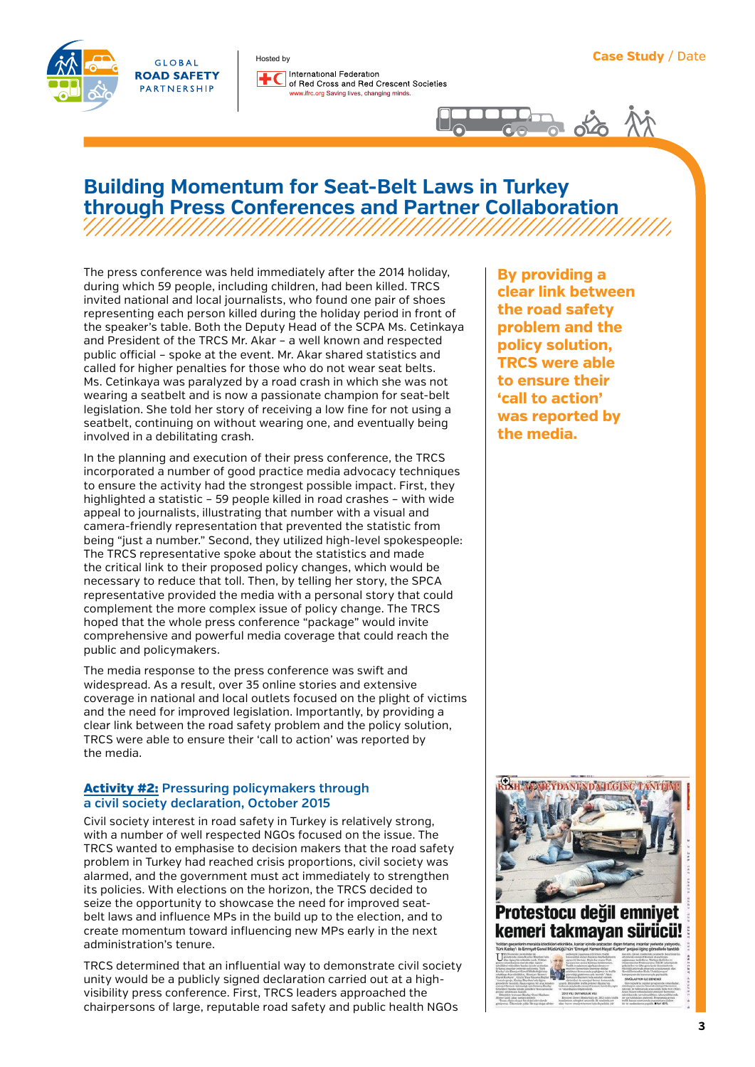



International Federation of Red Cross and Red Crescent Societies ifrc.org Saving lives, changing minds



## **Building Momentum for Seat-Belt Laws in Turkey through Press Conferences and Partner Collaboration**

The press conference was held immediately after the 2014 holiday, during which 59 people, including children, had been killed. TRCS invited national and local journalists, who found one pair of shoes representing each person killed during the holiday period in front of the speaker's table. Both the Deputy Head of the SCPA Ms. Cetinkaya and President of the TRCS Mr. Akar – a well known and respected public official – spoke at the event. Mr. Akar shared statistics and called for higher penalties for those who do not wear seat belts. Ms. Cetinkaya was paralyzed by a road crash in which she was not wearing a seatbelt and is now a passionate champion for seat-belt legislation. She told her story of receiving a low fine for not using a seatbelt, continuing on without wearing one, and eventually being involved in a debilitating crash.

Hosted by

In the planning and execution of their press conference, the TRCS incorporated a number of good practice media advocacy techniques to ensure the activity had the strongest possible impact. First, they highlighted a statistic – 59 people killed in road crashes – with wide appeal to journalists, illustrating that number with a visual and camera-friendly representation that prevented the statistic from being "just a number." Second, they utilized high-level spokespeople: The TRCS representative spoke about the statistics and made the critical link to their proposed policy changes, which would be necessary to reduce that toll. Then, by telling her story, the SPCA representative provided the media with a personal story that could complement the more complex issue of policy change. The TRCS hoped that the whole press conference "package" would invite comprehensive and powerful media coverage that could reach the public and policymakers.

The media response to the press conference was swift and widespread. As a result, over 35 online stories and extensive coverage in national and local outlets focused on the plight of victims and the need for improved legislation. Importantly, by providing a clear link between the road safety problem and the policy solution, TRCS were able to ensure their 'call to action' was reported by the media.

## Activity #2: **Pressuring policymakers through a civil society declaration, October 2015**

Civil society interest in road safety in Turkey is relatively strong, with a number of well respected NGOs focused on the issue. The TRCS wanted to emphasise to decision makers that the road safety problem in Turkey had reached crisis proportions, civil society was alarmed, and the government must act immediately to strengthen its policies. With elections on the horizon, the TRCS decided to seize the opportunity to showcase the need for improved seatbelt laws and influence MPs in the build up to the election, and to create momentum toward influencing new MPs early in the next administration's tenure.

TRCS determined that an influential way to demonstrate civil society unity would be a publicly signed declaration carried out at a highvisibility press conference. First, TRCS leaders approached the chairpersons of large, reputable road safety and public health NGOs

**By providing a clear link between the road safety problem and the policy solution, TRCS were able to ensure their 'call to action' was reported by the media.**